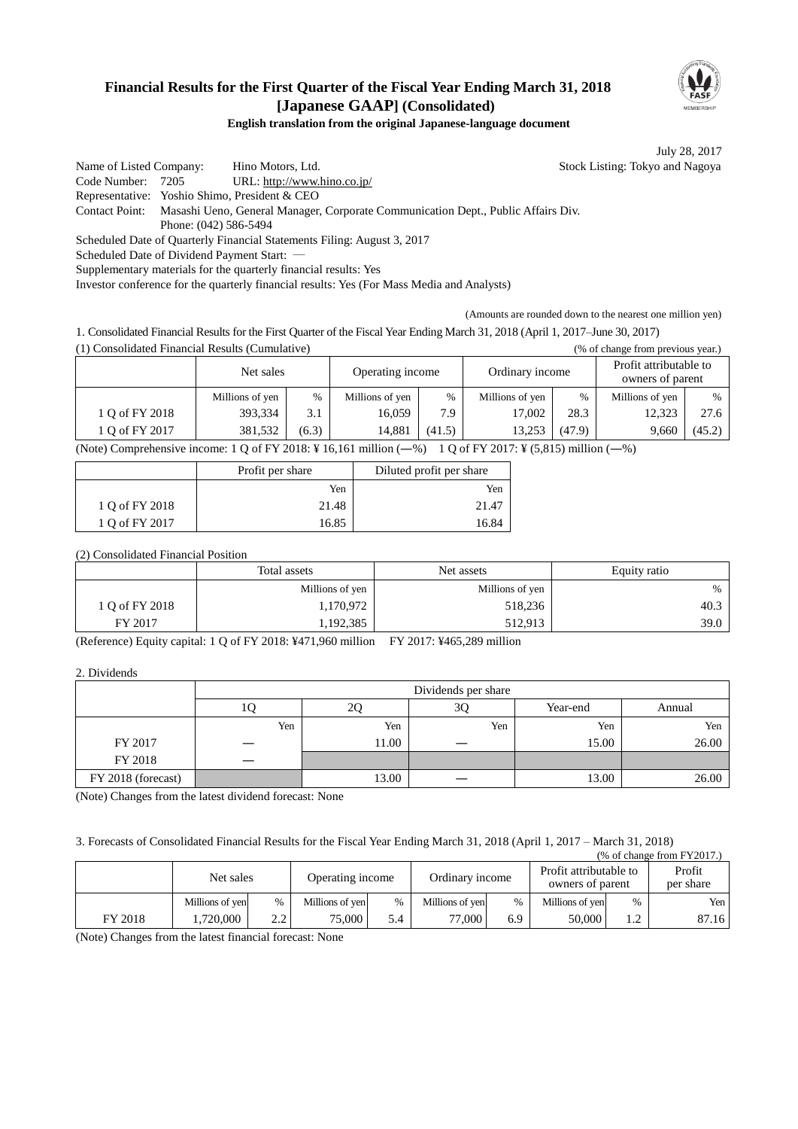

## **Financial Results for the First Quarter of the Fiscal Year Ending March 31, 2018 [Japanese GAAP] (Consolidated)**

**English translation from the original Japanese-language document**

July 28, 2017

Name of Listed Company: Hino Motors, Ltd. Stock Listing: Tokyo and Nagoya Code Number: 7205 URL: http://www.hino.co.jp/ Representative: Yoshio Shimo, President & CEO Contact Point: Masashi Ueno, General Manager, Corporate Communication Dept., Public Affairs Div. Phone: (042) 586-5494 Scheduled Date of Quarterly Financial Statements Filing: August 3, 2017 Scheduled Date of Dividend Payment Start: Supplementary materials for the quarterly financial results: Yes

Investor conference for the quarterly financial results: Yes (For Mass Media and Analysts)

(Amounts are rounded down to the nearest one million yen)

1. Consolidated Financial Results for the First Quarter of the Fiscal Year Ending March 31, 2018 (April 1, 2017–June 30, 2017)

(1) Consolidated Financial Results (Cumulative) (% of change from previous year.)

|                                                                                                                 | Net sales       |       | Operating income |        | Ordinary income |               | Profit attributable to<br>owners of parent |        |
|-----------------------------------------------------------------------------------------------------------------|-----------------|-------|------------------|--------|-----------------|---------------|--------------------------------------------|--------|
|                                                                                                                 | Millions of yen | $\%$  | Millions of yen  | $\%$   | Millions of yen | $\frac{0}{6}$ | Millions of yen                            | $\%$   |
| 1 Q of FY 2018                                                                                                  | 393,334         | 3.1   | 16.059           | 7.9    | 17,002          | 28.3          | 12,323                                     | 27.6   |
| 1 Q of FY 2017                                                                                                  | 381.532         | (6.3) | 14.881           | (41.5) | 13,253          | (47.9)        | 9.660                                      | (45.2) |
| (Note) Comprehensive income: 1 Q of FY 2018: ¥ 16,161 million $(-\%)$ 1 Q of FY 2017: ¥ (5,815) million $(-\%)$ |                 |       |                  |        |                 |               |                                            |        |

|                | Profit per share | Diluted profit per share |
|----------------|------------------|--------------------------|
|                | Yen              | Yen                      |
| 1 Q of FY 2018 | 21.48            | 21.47                    |
| 1 Q of FY 2017 | 16.85            | 16.84                    |

#### (2) Consolidated Financial Position

|                | Total assets    | Net assets      | Equity ratio |  |
|----------------|-----------------|-----------------|--------------|--|
|                | Millions of yen | Millions of yen | $\%$         |  |
| 1 O of FY 2018 | 1,170,972       | 518,236         | 40.3         |  |
| FY 2017        | 1,192,385       | 512.913         | 39.0         |  |

(Reference) Equity capital: 1 Q of FY 2018: ¥471,960 million FY 2017: ¥465,289 million

#### 2. Dividends

|                    | Dividends per share |                                |     |       |       |  |  |
|--------------------|---------------------|--------------------------------|-----|-------|-------|--|--|
|                    | ΙU                  | 3Q<br>Year-end<br>Annual<br>2Q |     |       |       |  |  |
|                    | Yen                 | Yen                            | Yen | Yen   | Yen   |  |  |
| FY 2017            |                     | 11.00                          |     | 15.00 | 26.00 |  |  |
| FY 2018            |                     |                                |     |       |       |  |  |
| FY 2018 (forecast) |                     | 13.00                          |     | 13.00 | 26.00 |  |  |

(Note) Changes from the latest dividend forecast: None

3. Forecasts of Consolidated Financial Results for the Fiscal Year Ending March 31, 2018 (April 1, 2017 – March 31, 2018)

| $%$ of change from FY2017.) |                 |            |                  |      |                 |     |                                            |                |                     |
|-----------------------------|-----------------|------------|------------------|------|-----------------|-----|--------------------------------------------|----------------|---------------------|
|                             | Net sales       |            | Operating income |      | Ordinary income |     | Profit attributable to<br>owners of parent |                | Profit<br>per share |
|                             | Millions of yen | $\%$       | Millions of yen  | $\%$ | Millions of yen | %   | Millions of yen                            | $\%$           | Yen                 |
| FY 2018                     | .720.000        | າ າ<br>∠.∠ | $75,000$ i       | 5.4  | 77.000          | 6.9 | 50,000                                     | $\cdot$ $\sim$ | 87.16               |

(Note) Changes from the latest financial forecast: None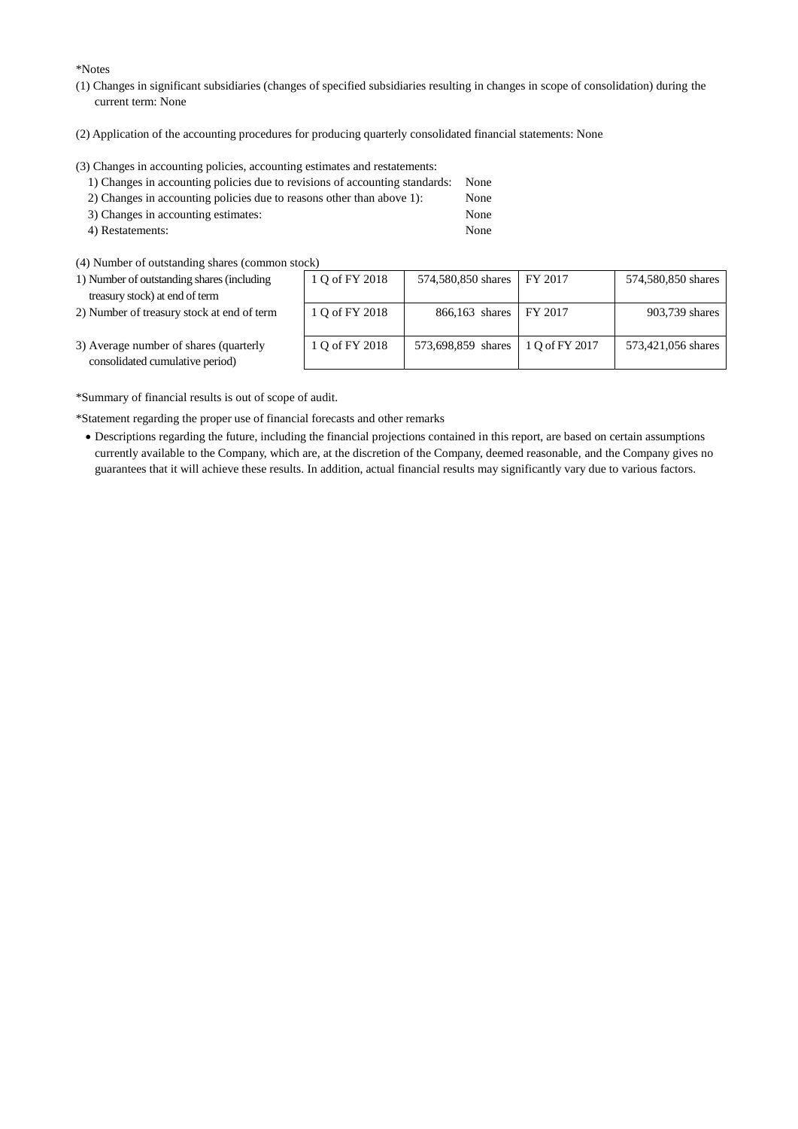\*Notes

- (1) Changes in significant subsidiaries (changes of specified subsidiaries resulting in changes in scope of consolidation) during the current term: None
- (2) Application of the accounting procedures for producing quarterly consolidated financial statements: None

(3) Changes in accounting policies, accounting estimates and restatements:

| 1) Changes in accounting policies due to revisions of accounting standards: None |      |
|----------------------------------------------------------------------------------|------|
| 2) Changes in accounting policies due to reasons other than above 1):            | None |
| 3) Changes in accounting estimates:                                              | None |

- 4) Restatements: None
- (4) Number of outstanding shares (common stock)
- 1) Number of outstanding shares (including treasury stock) at end of term
- 2) Number of treasury stock at end of term

| 1 Q of FY 2018 | 574,580,850 shares | FY 2017        | 574,580,850 shares |
|----------------|--------------------|----------------|--------------------|
| 1 Q of FY 2018 | 866,163 shares     | FY 2017        | 903,739 shares     |
| 1 Q of FY 2018 | 573,698,859 shares | 1 Q of FY 2017 | 573,421,056 shares |

3) Average number of shares (quarterly consolidated cumulative period)

\*Summary of financial results is out of scope of audit.

\*Statement regarding the proper use of financial forecasts and other remarks

 Descriptions regarding the future, including the financial projections contained in this report, are based on certain assumptions currently available to the Company, which are, at the discretion of the Company, deemed reasonable, and the Company gives no guarantees that it will achieve these results. In addition, actual financial results may significantly vary due to various factors.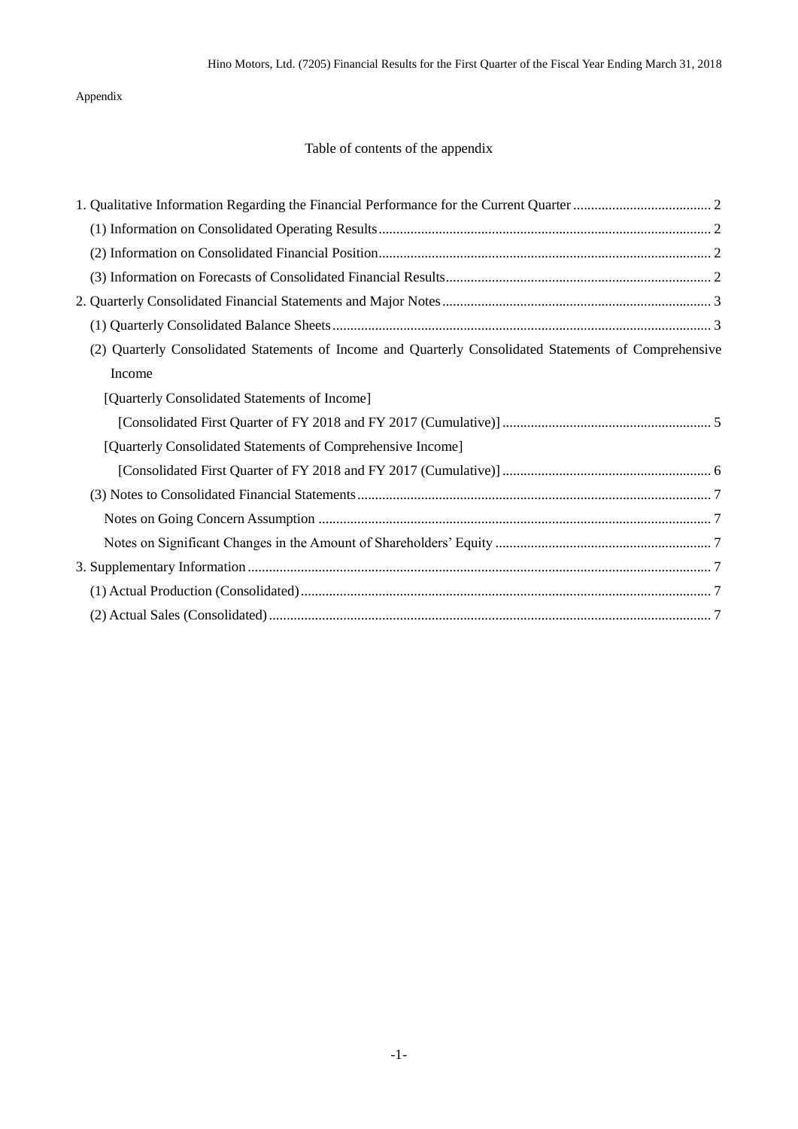## Appendix

## Table of contents of the appendix

| (2) Quarterly Consolidated Statements of Income and Quarterly Consolidated Statements of Comprehensive |
|--------------------------------------------------------------------------------------------------------|
| Income                                                                                                 |
| [Quarterly Consolidated Statements of Income]                                                          |
|                                                                                                        |
| [Quarterly Consolidated Statements of Comprehensive Income]                                            |
|                                                                                                        |
|                                                                                                        |
|                                                                                                        |
|                                                                                                        |
|                                                                                                        |
|                                                                                                        |
|                                                                                                        |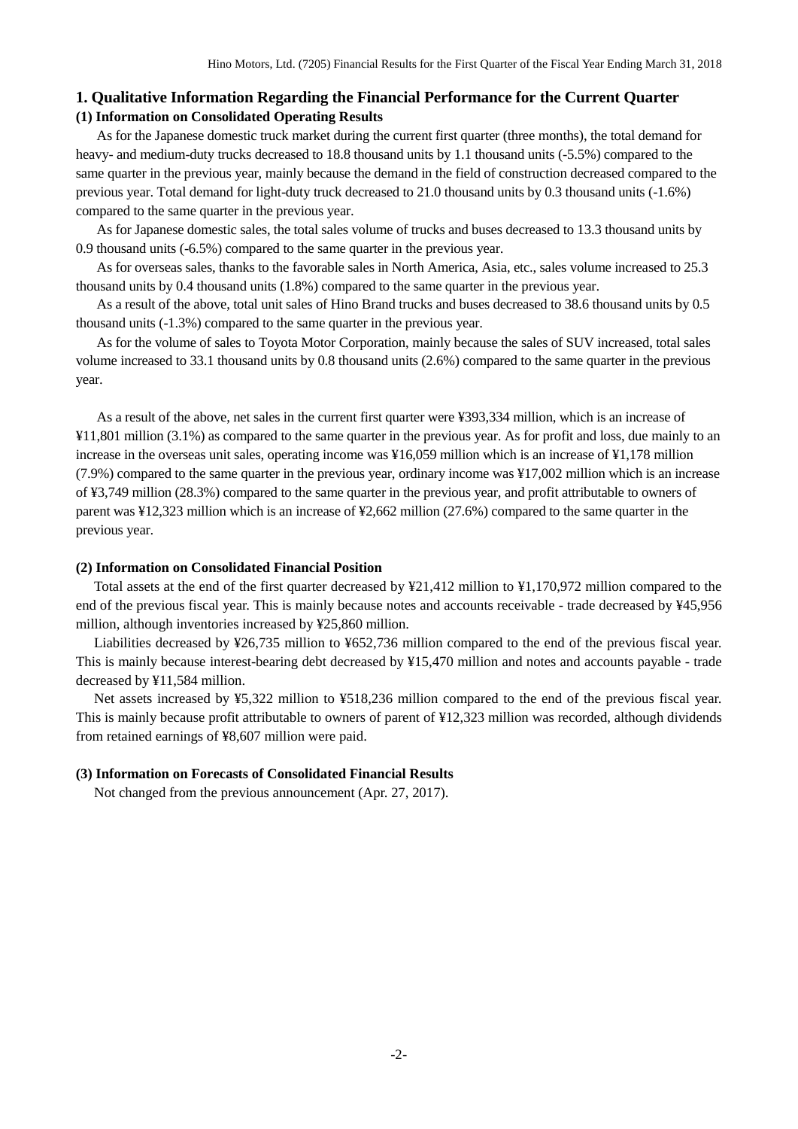## <span id="page-3-1"></span><span id="page-3-0"></span>**1. Qualitative Information Regarding the Financial Performance for the Current Quarter (1) Information on Consolidated Operating Results**

As for the Japanese domestic truck market during the current first quarter (three months), the total demand for heavy- and medium-duty trucks decreased to 18.8 thousand units by 1.1 thousand units (-5.5%) compared to the same quarter in the previous year, mainly because the demand in the field of construction decreased compared to the previous year. Total demand for light-duty truck decreased to 21.0 thousand units by 0.3 thousand units (-1.6%) compared to the same quarter in the previous year.

As for Japanese domestic sales, the total sales volume of trucks and buses decreased to 13.3 thousand units by 0.9 thousand units (-6.5%) compared to the same quarter in the previous year.

As for overseas sales, thanks to the favorable sales in North America, Asia, etc., sales volume increased to 25.3 thousand units by 0.4 thousand units (1.8%) compared to the same quarter in the previous year.

As a result of the above, total unit sales of Hino Brand trucks and buses decreased to 38.6 thousand units by 0.5 thousand units (-1.3%) compared to the same quarter in the previous year.

As for the volume of sales to Toyota Motor Corporation, mainly because the sales of SUV increased, total sales volume increased to 33.1 thousand units by 0.8 thousand units (2.6%) compared to the same quarter in the previous year.

As a result of the above, net sales in the current first quarter were ¥393,334 million, which is an increase of ¥11,801 million (3.1%) as compared to the same quarter in the previous year. As for profit and loss, due mainly to an increase in the overseas unit sales, operating income was ¥16,059 million which is an increase of ¥1,178 million (7.9%) compared to the same quarter in the previous year, ordinary income was ¥17,002 million which is an increase of ¥3,749 million (28.3%) compared to the same quarter in the previous year, and profit attributable to owners of parent was ¥12,323 million which is an increase of ¥2,662 million (27.6%) compared to the same quarter in the previous year.

#### <span id="page-3-2"></span>**(2) Information on Consolidated Financial Position**

Total assets at the end of the first quarter decreased by ¥21,412 million to ¥1,170,972 million compared to the end of the previous fiscal year. This is mainly because notes and accounts receivable - trade decreased by ¥45,956 million, although inventories increased by ¥25,860 million.

Liabilities decreased by ¥26,735 million to ¥652,736 million compared to the end of the previous fiscal year. This is mainly because interest-bearing debt decreased by ¥15,470 million and notes and accounts payable - trade decreased by ¥11,584 million.

Net assets increased by ¥5,322 million to ¥518,236 million compared to the end of the previous fiscal year. This is mainly because profit attributable to owners of parent of ¥12,323 million was recorded, although dividends from retained earnings of ¥8,607 million were paid.

#### <span id="page-3-3"></span>**(3) Information on Forecasts of Consolidated Financial Results**

Not changed from the previous announcement (Apr. 27, 2017).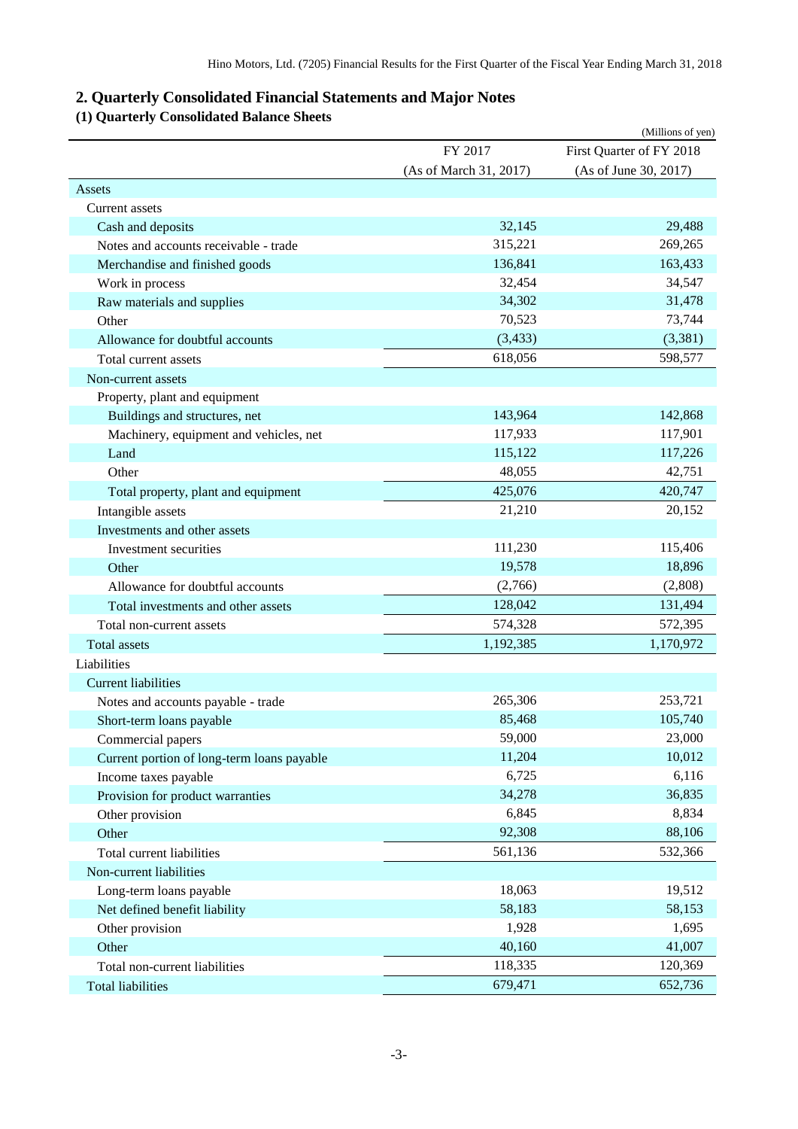# <span id="page-4-0"></span>**2. Quarterly Consolidated Financial Statements and Major Notes**

# <span id="page-4-1"></span>**(1) Quarterly Consolidated Balance Sheets**

|                                            |                        | (Millions of yen)        |
|--------------------------------------------|------------------------|--------------------------|
|                                            | FY 2017                | First Quarter of FY 2018 |
|                                            | (As of March 31, 2017) | (As of June 30, 2017)    |
| Assets                                     |                        |                          |
| <b>Current assets</b>                      |                        |                          |
| Cash and deposits                          | 32,145                 | 29,488                   |
| Notes and accounts receivable - trade      | 315,221                | 269,265                  |
| Merchandise and finished goods             | 136,841                | 163,433                  |
| Work in process                            | 32,454                 | 34,547                   |
| Raw materials and supplies                 | 34,302                 | 31,478                   |
| Other                                      | 70,523                 | 73,744                   |
| Allowance for doubtful accounts            | (3, 433)               | (3,381)                  |
| Total current assets                       | 618,056                | 598,577                  |
| Non-current assets                         |                        |                          |
| Property, plant and equipment              |                        |                          |
| Buildings and structures, net              | 143,964                | 142,868                  |
| Machinery, equipment and vehicles, net     | 117,933                | 117,901                  |
| Land                                       | 115,122                | 117,226                  |
| Other                                      | 48,055                 | 42,751                   |
| Total property, plant and equipment        | 425,076                | 420,747                  |
| Intangible assets                          | 21,210                 | 20,152                   |
| Investments and other assets               |                        |                          |
| Investment securities                      | 111,230                | 115,406                  |
| Other                                      | 19,578                 | 18,896                   |
| Allowance for doubtful accounts            | (2,766)                | (2,808)                  |
| Total investments and other assets         | 128,042                | 131,494                  |
| Total non-current assets                   | 574,328                | 572,395                  |
| <b>Total</b> assets                        | 1,192,385              | 1,170,972                |
| Liabilities                                |                        |                          |
| <b>Current liabilities</b>                 |                        |                          |
| Notes and accounts payable - trade         | 265,306                | 253,721                  |
| Short-term loans payable                   | 85,468                 | 105,740                  |
| Commercial papers                          | 59,000                 | 23,000                   |
| Current portion of long-term loans payable | 11,204                 | 10,012                   |
| Income taxes payable                       | 6,725                  | 6,116                    |
| Provision for product warranties           | 34,278                 | 36,835                   |
| Other provision                            | 6,845                  | 8,834                    |
| Other                                      | 92,308                 | 88,106                   |
| Total current liabilities                  | 561,136                | 532,366                  |
| Non-current liabilities                    |                        |                          |
|                                            | 18,063                 | 19,512                   |
| Long-term loans payable                    |                        |                          |
| Net defined benefit liability              | 58,183                 | 58,153                   |
| Other provision                            | 1,928                  | 1,695                    |
| Other                                      | 40,160                 | 41,007                   |
| Total non-current liabilities              | 118,335                | 120,369                  |
| <b>Total liabilities</b>                   | 679,471                | 652,736                  |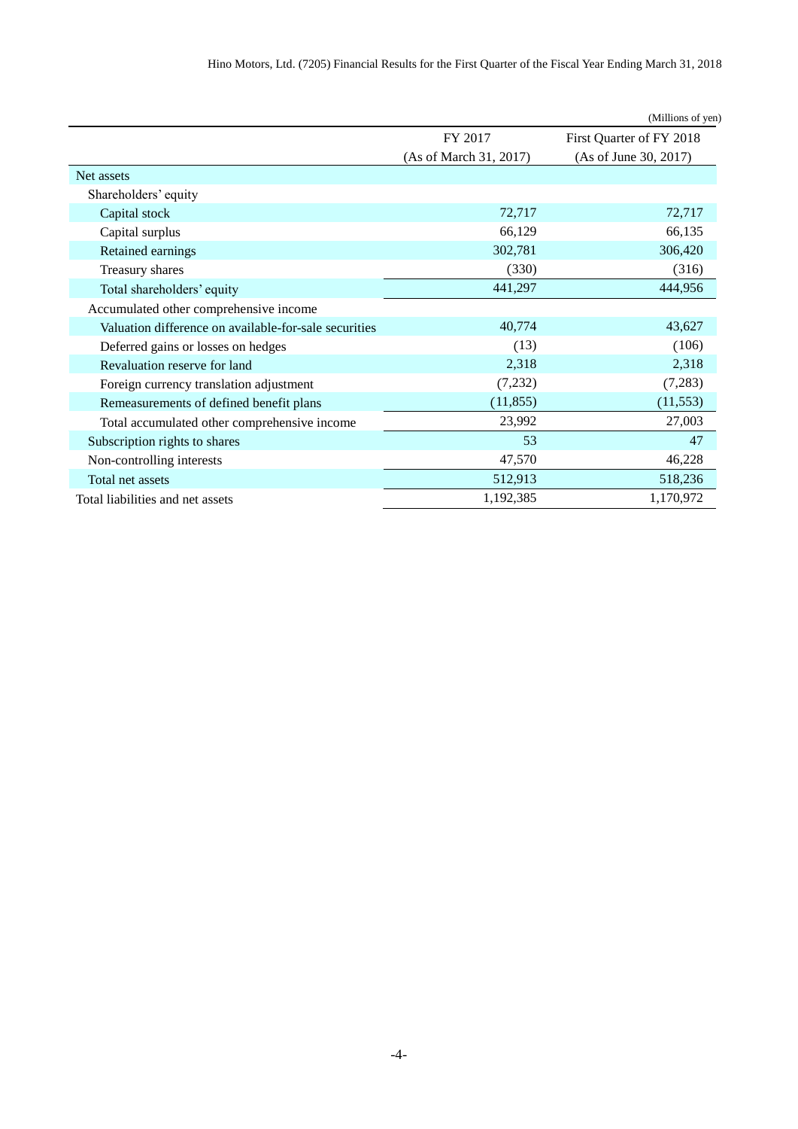|                                                       |                        | (Millions of yen)        |
|-------------------------------------------------------|------------------------|--------------------------|
|                                                       | FY 2017                | First Quarter of FY 2018 |
|                                                       | (As of March 31, 2017) | (As of June 30, 2017)    |
| Net assets                                            |                        |                          |
| Shareholders' equity                                  |                        |                          |
| Capital stock                                         | 72,717                 | 72,717                   |
| Capital surplus                                       | 66,129                 | 66,135                   |
| Retained earnings                                     | 302,781                | 306,420                  |
| Treasury shares                                       | (330)                  | (316)                    |
| Total shareholders' equity                            | 441,297                | 444,956                  |
| Accumulated other comprehensive income                |                        |                          |
| Valuation difference on available-for-sale securities | 40,774                 | 43,627                   |
| Deferred gains or losses on hedges                    | (13)                   | (106)                    |
| Revaluation reserve for land                          | 2,318                  | 2,318                    |
| Foreign currency translation adjustment               | (7, 232)               | (7, 283)                 |
| Remeasurements of defined benefit plans               | (11, 855)              | (11, 553)                |
| Total accumulated other comprehensive income          | 23,992                 | 27,003                   |
| Subscription rights to shares                         | 53                     | 47                       |
| Non-controlling interests                             | 47,570                 | 46,228                   |
| Total net assets                                      | 512,913                | 518,236                  |
| Total liabilities and net assets                      | 1,192,385              | 1,170,972                |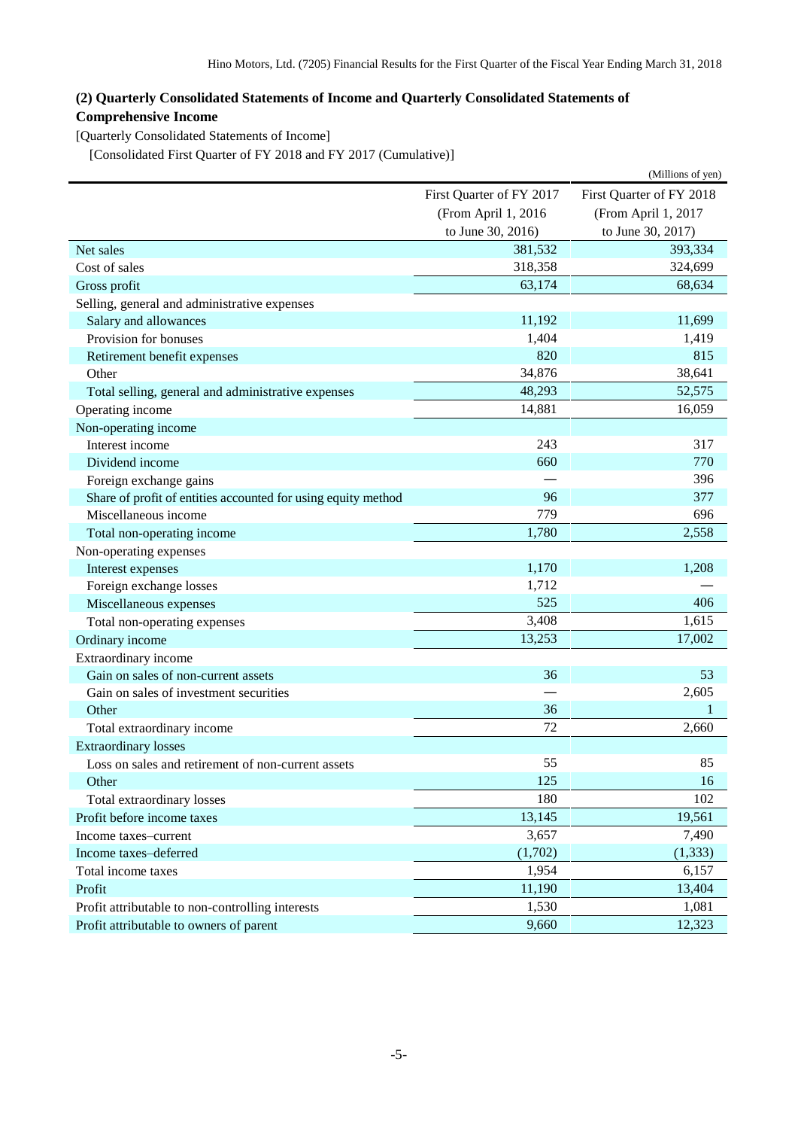## <span id="page-6-0"></span>**(2) Quarterly Consolidated Statements of Income and Quarterly Consolidated Statements of Comprehensive Income**

<span id="page-6-1"></span>[Quarterly Consolidated Statements of Income]

<span id="page-6-2"></span>[Consolidated First Quarter of FY 2018 and FY 2017 (Cumulative)]

|                                                               |                          | (Millions of yen)        |
|---------------------------------------------------------------|--------------------------|--------------------------|
|                                                               | First Quarter of FY 2017 | First Quarter of FY 2018 |
|                                                               | (From April 1, 2016      | (From April 1, 2017      |
|                                                               | to June 30, 2016)        | to June 30, 2017)        |
| Net sales                                                     | 381,532                  | 393,334                  |
| Cost of sales                                                 | 318,358                  | 324,699                  |
| Gross profit                                                  | 63,174                   | 68,634                   |
| Selling, general and administrative expenses                  |                          |                          |
| Salary and allowances                                         | 11,192                   | 11,699                   |
| Provision for bonuses                                         | 1,404                    | 1,419                    |
| Retirement benefit expenses                                   | 820                      | 815                      |
| Other                                                         | 34,876                   | 38,641                   |
| Total selling, general and administrative expenses            | 48,293                   | 52,575                   |
| Operating income                                              | 14,881                   | 16,059                   |
| Non-operating income                                          |                          |                          |
| Interest income                                               | 243                      | 317                      |
| Dividend income                                               | 660                      | 770                      |
| Foreign exchange gains                                        |                          | 396                      |
| Share of profit of entities accounted for using equity method | 96                       | 377                      |
| Miscellaneous income                                          | 779                      | 696                      |
| Total non-operating income                                    | 1,780                    | 2,558                    |
| Non-operating expenses                                        |                          |                          |
| Interest expenses                                             | 1,170                    | 1,208                    |
| Foreign exchange losses                                       | 1,712                    |                          |
| Miscellaneous expenses                                        | 525                      | 406                      |
| Total non-operating expenses                                  | 3,408                    | 1,615                    |
| Ordinary income                                               | 13,253                   | 17,002                   |
| Extraordinary income                                          |                          |                          |
| Gain on sales of non-current assets                           | 36                       | 53                       |
| Gain on sales of investment securities                        |                          | 2,605                    |
| Other                                                         | 36                       | 1                        |
| Total extraordinary income                                    | 72                       | 2,660                    |
| <b>Extraordinary losses</b>                                   |                          |                          |
| Loss on sales and retirement of non-current assets            | 55                       | 85                       |
| Other                                                         | 125                      | 16                       |
| Total extraordinary losses                                    | 180                      | 102                      |
| Profit before income taxes                                    | 13,145                   | 19,561                   |
| Income taxes-current                                          | 3,657                    | 7,490                    |
| Income taxes-deferred                                         | (1,702)                  | (1, 333)                 |
| Total income taxes                                            | 1,954                    | 6,157                    |
| Profit                                                        | 11,190                   | 13,404                   |
| Profit attributable to non-controlling interests              | 1,530                    | 1,081                    |
| Profit attributable to owners of parent                       | 9,660                    | 12,323                   |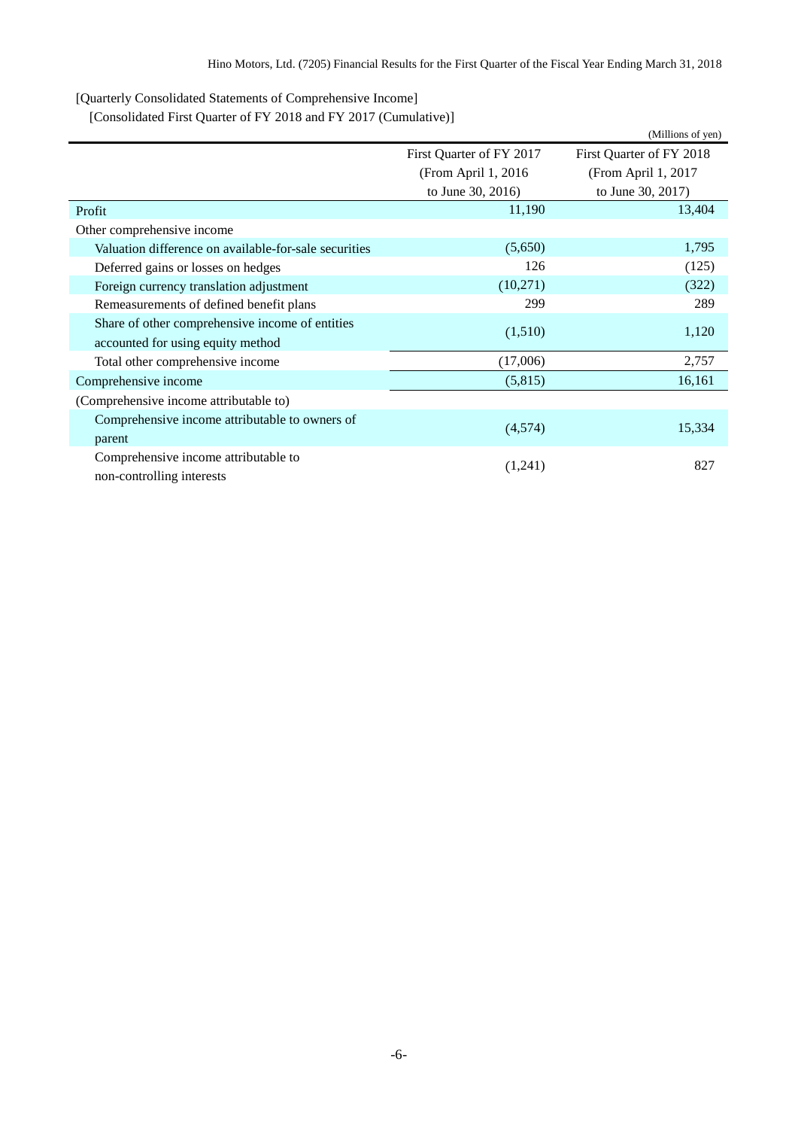<span id="page-7-0"></span>[Quarterly Consolidated Statements of Comprehensive Income]

<span id="page-7-1"></span>[Consolidated First Quarter of FY 2018 and FY 2017 (Cumulative)]

|                                                       |                          | (Millions of yen)        |
|-------------------------------------------------------|--------------------------|--------------------------|
|                                                       | First Quarter of FY 2017 | First Quarter of FY 2018 |
|                                                       | (From April 1, 2016)     | (From April 1, 2017      |
|                                                       | to June 30, 2016)        | to June 30, 2017)        |
| Profit                                                | 11,190                   | 13,404                   |
| Other comprehensive income                            |                          |                          |
| Valuation difference on available-for-sale securities | (5,650)                  | 1,795                    |
| Deferred gains or losses on hedges                    | 126                      | (125)                    |
| Foreign currency translation adjustment               | (10,271)                 | (322)                    |
| Remeasurements of defined benefit plans               | 299                      | 289                      |
| Share of other comprehensive income of entities       |                          |                          |
| accounted for using equity method                     | (1,510)                  | 1,120                    |
| Total other comprehensive income                      | (17,006)                 | 2,757                    |
| Comprehensive income                                  | (5,815)                  | 16,161                   |
| (Comprehensive income attributable to)                |                          |                          |
| Comprehensive income attributable to owners of        |                          |                          |
| parent                                                | (4,574)                  | 15,334                   |
| Comprehensive income attributable to                  |                          |                          |
| non-controlling interests                             | (1,241)                  | 827                      |